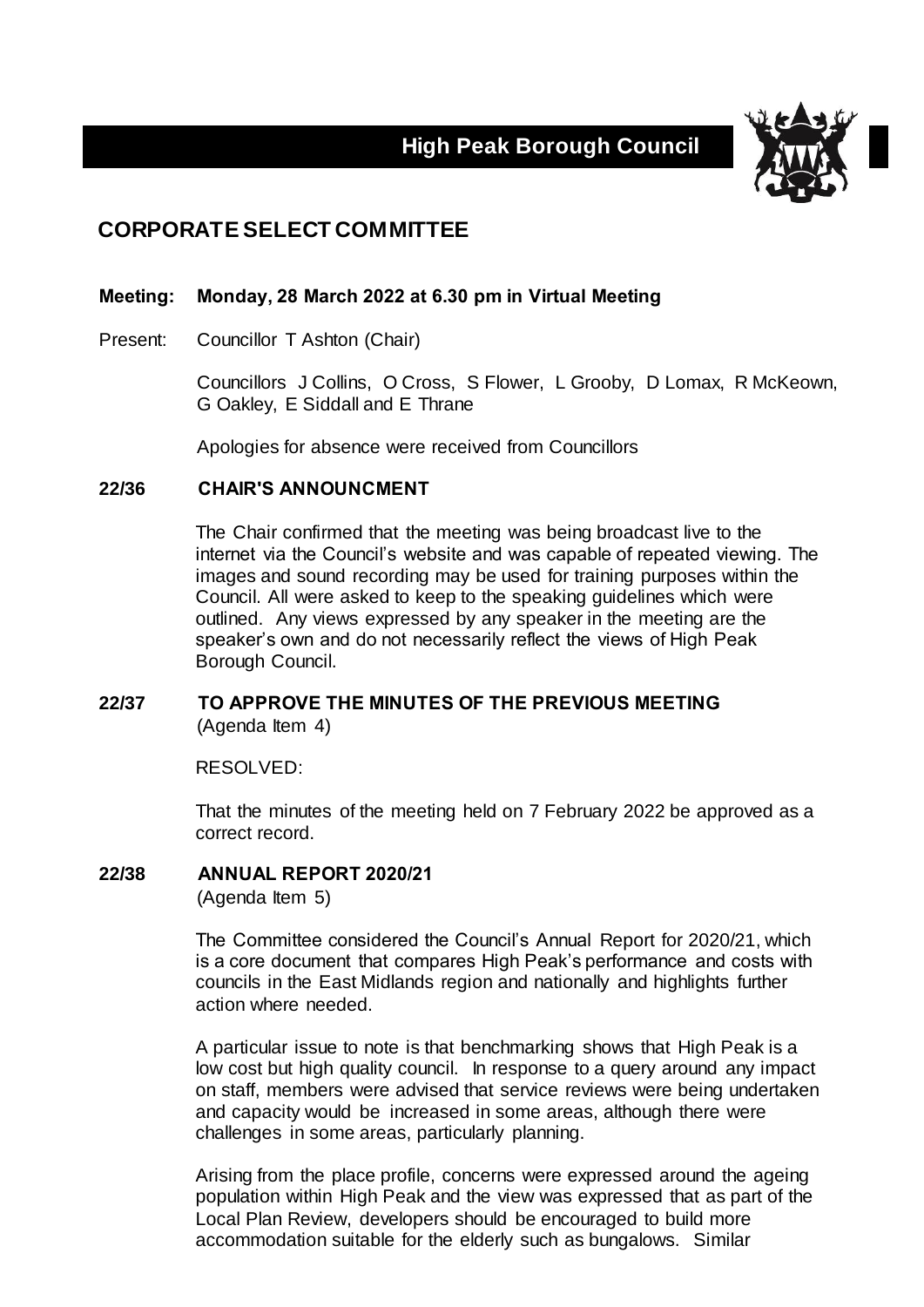# **High Peak Borough Council**



## **CORPORATE SELECT COMMITTEE**

#### **Meeting: Monday, 28 March 2022 at 6.30 pm in Virtual Meeting**

Present: Councillor T Ashton (Chair)

Councillors J Collins, O Cross, S Flower, L Grooby, D Lomax, R McKeown, G Oakley, E Siddall and E Thrane

Apologies for absence were received from Councillors

#### **22/36 CHAIR'S ANNOUNCMENT**

The Chair confirmed that the meeting was being broadcast live to the internet via the Council's website and was capable of repeated viewing. The images and sound recording may be used for training purposes within the Council. All were asked to keep to the speaking guidelines which were outlined. Any views expressed by any speaker in the meeting are the speaker's own and do not necessarily reflect the views of High Peak Borough Council.

## **22/37 TO APPROVE THE MINUTES OF THE PREVIOUS MEETING** (Agenda Item 4)

RESOLVED:

That the minutes of the meeting held on 7 February 2022 be approved as a correct record.

## **22/38 ANNUAL REPORT 2020/21**

(Agenda Item 5)

The Committee considered the Council's Annual Report for 2020/21, which is a core document that compares High Peak's performance and costs with councils in the East Midlands region and nationally and highlights further action where needed.

A particular issue to note is that benchmarking shows that High Peak is a low cost but high quality council. In response to a query around any impact on staff, members were advised that service reviews were being undertaken and capacity would be increased in some areas, although there were challenges in some areas, particularly planning.

Arising from the place profile, concerns were expressed around the ageing population within High Peak and the view was expressed that as part of the Local Plan Review, developers should be encouraged to build more accommodation suitable for the elderly such as bungalows. Similar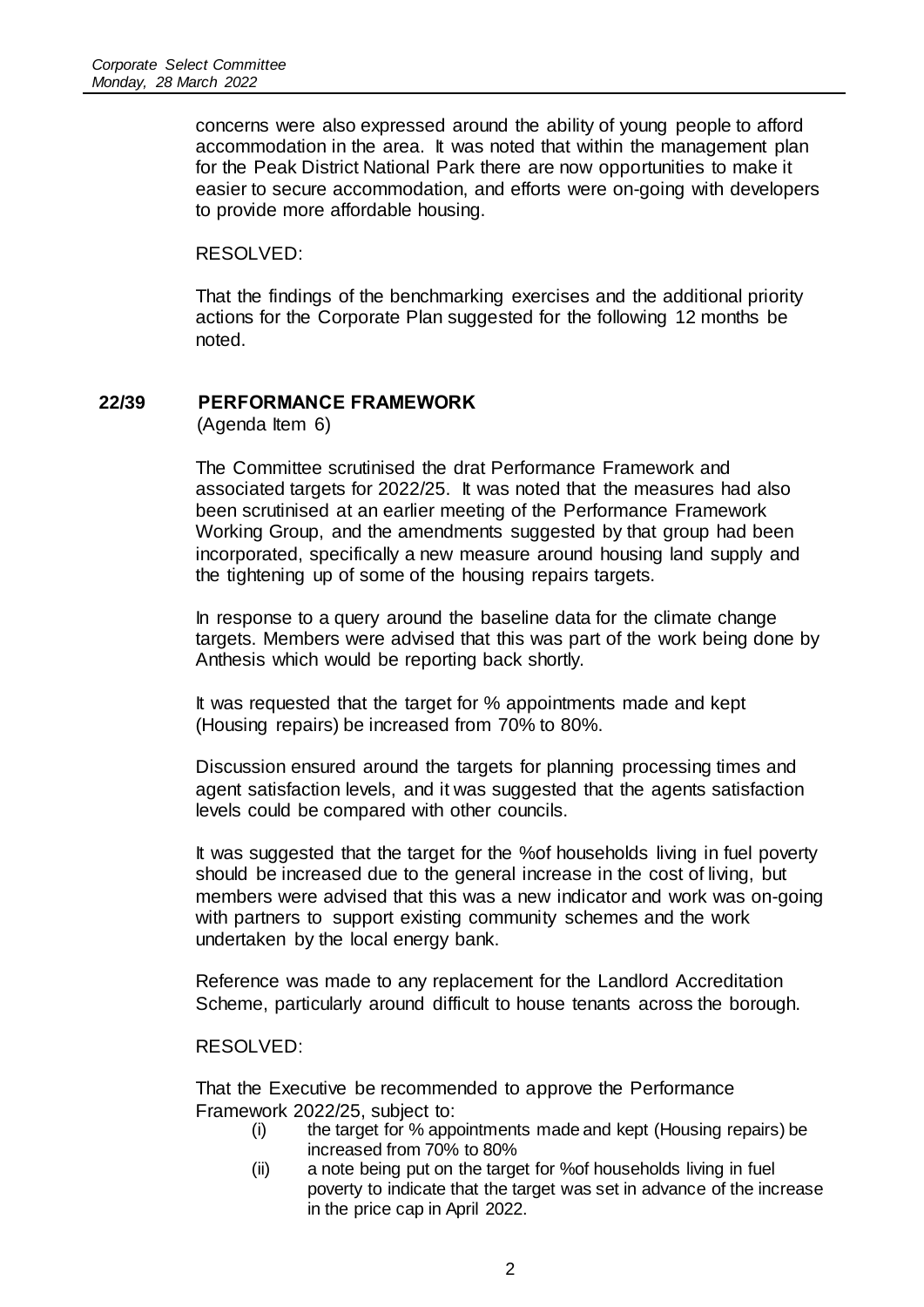concerns were also expressed around the ability of young people to afford accommodation in the area. It was noted that within the management plan for the Peak District National Park there are now opportunities to make it easier to secure accommodation, and efforts were on-going with developers to provide more affordable housing.

RESOLVED:

That the findings of the benchmarking exercises and the additional priority actions for the Corporate Plan suggested for the following 12 months be noted.

## **22/39 PERFORMANCE FRAMEWORK**

(Agenda Item 6)

The Committee scrutinised the drat Performance Framework and associated targets for 2022/25. It was noted that the measures had also been scrutinised at an earlier meeting of the Performance Framework Working Group, and the amendments suggested by that group had been incorporated, specifically a new measure around housing land supply and the tightening up of some of the housing repairs targets.

In response to a query around the baseline data for the climate change targets. Members were advised that this was part of the work being done by Anthesis which would be reporting back shortly.

It was requested that the target for % appointments made and kept (Housing repairs) be increased from 70% to 80%.

Discussion ensured around the targets for planning processing times and agent satisfaction levels, and it was suggested that the agents satisfaction levels could be compared with other councils.

It was suggested that the target for the %of households living in fuel poverty should be increased due to the general increase in the cost of living, but members were advised that this was a new indicator and work was on-going with partners to support existing community schemes and the work undertaken by the local energy bank.

Reference was made to any replacement for the Landlord Accreditation Scheme, particularly around difficult to house tenants across the borough.

RESOLVED:

That the Executive be recommended to approve the Performance Framework 2022/25, subject to:

- (i) the target for % appointments made and kept (Housing repairs) be increased from 70% to 80%
- (ii) a note being put on the target for %of households living in fuel poverty to indicate that the target was set in advance of the increase in the price cap in April 2022.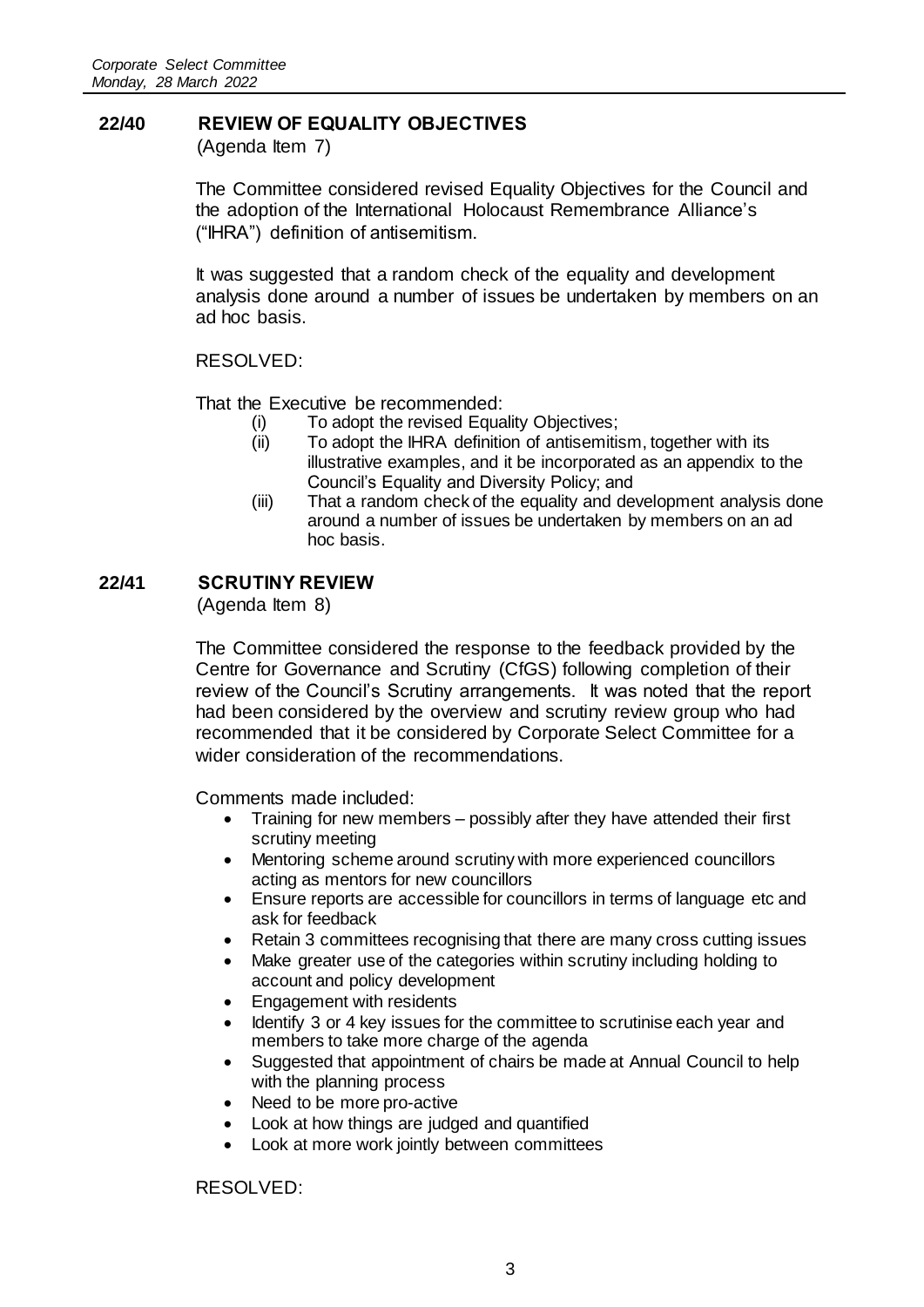## **22/40 REVIEW OF EQUALITY OBJECTIVES**

(Agenda Item 7)

The Committee considered revised Equality Objectives for the Council and the adoption of the International Holocaust Remembrance Alliance's ("IHRA") definition of antisemitism.

It was suggested that a random check of the equality and development analysis done around a number of issues be undertaken by members on an ad hoc basis.

RESOLVED:

That the Executive be recommended:

- (i) To adopt the revised Equality Objectives;
- (ii) To adopt the IHRA definition of antisemitism, together with its illustrative examples, and it be incorporated as an appendix to the Council's Equality and Diversity Policy; and
- (iii) That a random check of the equality and development analysis done around a number of issues be undertaken by members on an ad hoc basis.

## **22/41 SCRUTINY REVIEW**

(Agenda Item 8)

The Committee considered the response to the feedback provided by the Centre for Governance and Scrutiny (CfGS) following completion of their review of the Council's Scrutiny arrangements. It was noted that the report had been considered by the overview and scrutiny review group who had recommended that it be considered by Corporate Select Committee for a wider consideration of the recommendations.

Comments made included:

- Training for new members possibly after they have attended their first scrutiny meeting
- Mentoring scheme around scrutiny with more experienced councillors acting as mentors for new councillors
- Ensure reports are accessible for councillors in terms of language etc and ask for feedback
- Retain 3 committees recognising that there are many cross cutting issues
- Make greater use of the categories within scrutiny including holding to account and policy development
- Engagement with residents
- Identify 3 or 4 key issues for the committee to scrutinise each year and members to take more charge of the agenda
- Suggested that appointment of chairs be made at Annual Council to help with the planning process
- Need to be more pro-active
- Look at how things are judged and quantified
- Look at more work jointly between committees

RESOLVED: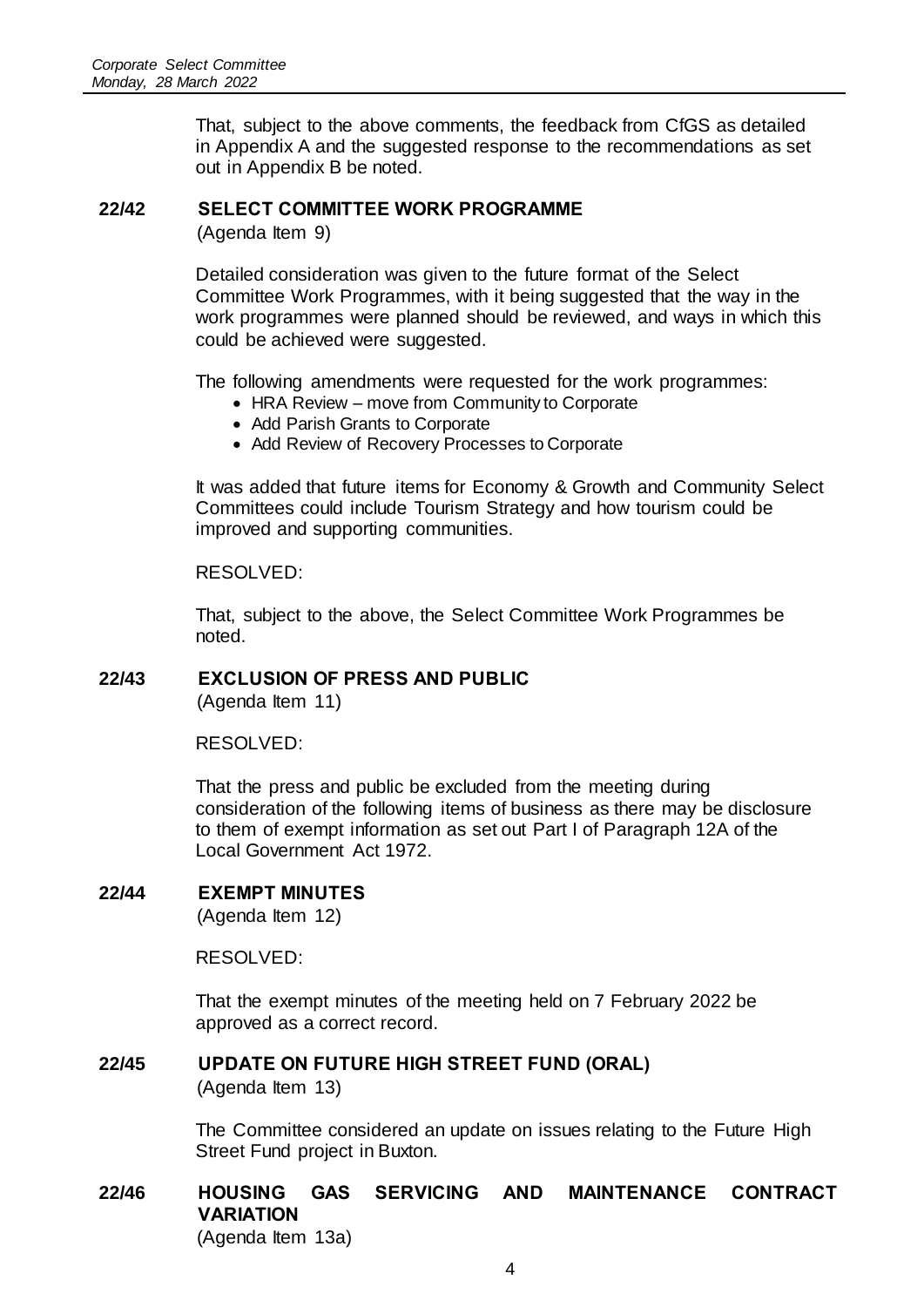That, subject to the above comments, the feedback from CfGS as detailed in Appendix A and the suggested response to the recommendations as set out in Appendix B be noted.

## **22/42 SELECT COMMITTEE WORK PROGRAMME**

(Agenda Item 9)

Detailed consideration was given to the future format of the Select Committee Work Programmes, with it being suggested that the way in the work programmes were planned should be reviewed, and ways in which this could be achieved were suggested.

The following amendments were requested for the work programmes:

- HRA Review move from Community to Corporate
- Add Parish Grants to Corporate
- Add Review of Recovery Processes to Corporate

It was added that future items for Economy & Growth and Community Select Committees could include Tourism Strategy and how tourism could be improved and supporting communities.

#### RESOLVED:

That, subject to the above, the Select Committee Work Programmes be noted.

# **22/43 EXCLUSION OF PRESS AND PUBLIC**

(Agenda Item 11)

RESOLVED:

That the press and public be excluded from the meeting during consideration of the following items of business as there may be disclosure to them of exempt information as set out Part I of Paragraph 12A of the Local Government Act 1972.

#### **22/44 EXEMPT MINUTES**

(Agenda Item 12)

RESOLVED:

That the exempt minutes of the meeting held on 7 February 2022 be approved as a correct record.

#### **22/45 UPDATE ON FUTURE HIGH STREET FUND (ORAL)**

(Agenda Item 13)

The Committee considered an update on issues relating to the Future High Street Fund project in Buxton.

#### **22/46 HOUSING GAS SERVICING AND MAINTENANCE CONTRACT VARIATION** (Agenda Item 13a)